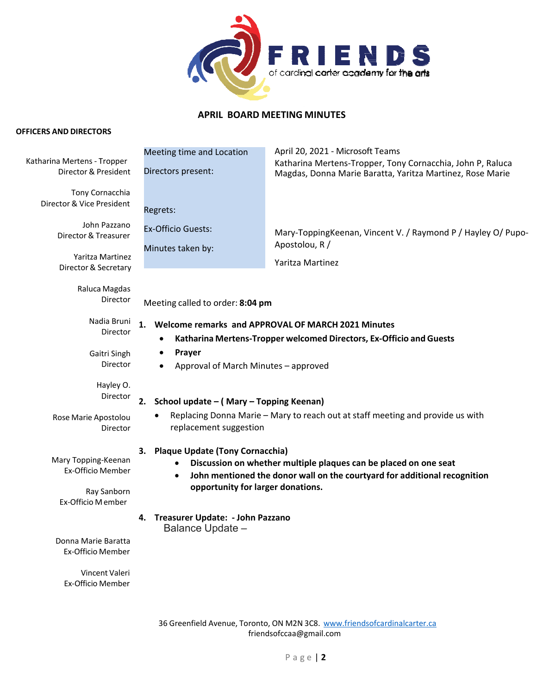

## **APRIL BOARD MEETING MINUTES**

## **OFFICERS AND DIRECTORS**

|                                                                              | Meeting time and Location                                                                                                                                                                                                                       | April 20, 2021 - Microsoft Teams                                                                                             |
|------------------------------------------------------------------------------|-------------------------------------------------------------------------------------------------------------------------------------------------------------------------------------------------------------------------------------------------|------------------------------------------------------------------------------------------------------------------------------|
| Katharina Mertens - Tropper<br>Director & President                          | Directors present:                                                                                                                                                                                                                              | Katharina Mertens-Tropper, Tony Cornacchia, John P, Raluca<br>Magdas, Donna Marie Baratta, Yaritza Martinez, Rose Marie      |
| Tony Cornacchia<br>Director & Vice President                                 | Regrets:                                                                                                                                                                                                                                        |                                                                                                                              |
| John Pazzano<br>Director & Treasurer<br>Yaritza Martinez                     | <b>Ex-Officio Guests:</b><br>Minutes taken by:                                                                                                                                                                                                  | Mary-ToppingKeenan, Vincent V. / Raymond P / Hayley O/ Pupo-<br>Apostolou, R /                                               |
| Director & Secretary                                                         |                                                                                                                                                                                                                                                 | Yaritza Martinez                                                                                                             |
| Raluca Magdas<br>Director                                                    | Meeting called to order: 8:04 pm                                                                                                                                                                                                                |                                                                                                                              |
| Nadia Bruni<br>Director                                                      |                                                                                                                                                                                                                                                 | 1. Welcome remarks and APPROVAL OF MARCH 2021 Minutes<br>Katharina Mertens-Tropper welcomed Directors, Ex-Officio and Guests |
| Gaitri Singh<br>Director                                                     | Prayer<br>٠<br>Approval of March Minutes - approved                                                                                                                                                                                             |                                                                                                                              |
| Hayley O.<br>Director                                                        | 2.<br>School update - (Mary - Topping Keenan)<br>Replacing Donna Marie - Mary to reach out at staff meeting and provide us with<br>replacement suggestion                                                                                       |                                                                                                                              |
| Rose Marie Apostolou<br>Director                                             |                                                                                                                                                                                                                                                 |                                                                                                                              |
| Mary Topping-Keenan<br>Ex-Officio Member<br>Ray Sanborn<br>Ex-Officio Member | <b>Plaque Update (Tony Cornacchia)</b><br>3.<br>Discussion on whether multiple plaques can be placed on one seat<br>John mentioned the donor wall on the courtyard for additional recognition<br>$\bullet$<br>opportunity for larger donations. |                                                                                                                              |
|                                                                              | Treasurer Update: - John Pazzano<br>4.<br>Balance Update -                                                                                                                                                                                      |                                                                                                                              |
| Donna Marie Baratta<br><b>Ex-Officio Member</b>                              |                                                                                                                                                                                                                                                 |                                                                                                                              |
| Vincent Valeri<br>Ex-Officio Member                                          |                                                                                                                                                                                                                                                 |                                                                                                                              |
|                                                                              |                                                                                                                                                                                                                                                 |                                                                                                                              |

36 Greenfield Avenue, Toronto, ON M2N 3C8. www.friendsofcardinalcarter.ca friendsofccaa@gmail.com